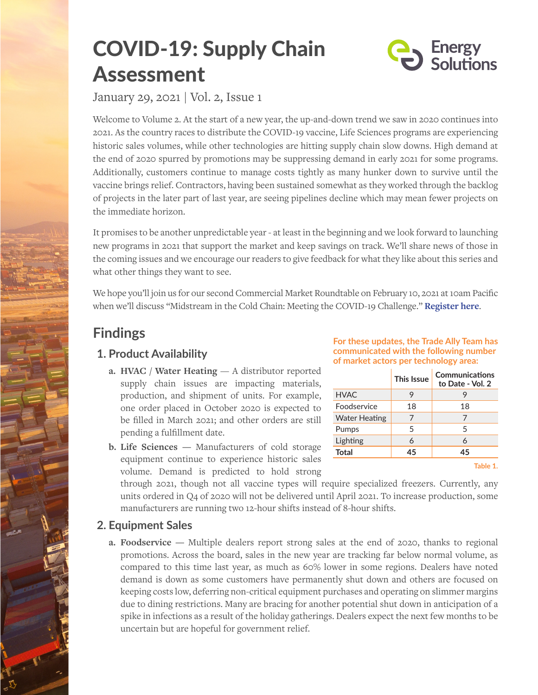# COVID-19: Supply Chain **Assessment**



January 29, 2021 | Vol. 2, Issue 1

Welcome to Volume 2. At the start of a new year, the up-and-down trend we saw in 2020 continues into 2021. As the country races to distribute the COVID-19 vaccine, Life Sciences programs are experiencing historic sales volumes, while other technologies are hitting supply chain slow downs. High demand at the end of 2020 spurred by promotions may be suppressing demand in early 2021 for some programs. Additionally, customers continue to manage costs tightly as many hunker down to survive until the vaccine brings relief. Contractors, having been sustained somewhat as they worked through the backlog of projects in the later part of last year, are seeing pipelines decline which may mean fewer projects on the immediate horizon.

It promises to be another unpredictable year - at least in the beginning and we look forward to launching new programs in 2021 that support the market and keep savings on track. We'll share news of those in the coming issues and we encourage our readers to give feedback for what they like about this series and what other things they want to see.

We hope you'll join us for our second Commercial Market Roundtable on February 10, 2021 at 10am Pacific when we'll discuss "Midstream in the Cold Chain: Meeting the COVID-19 Challenge." **[Register here](https://energy-solution.zoom.us/webinar/register/WN_8f1A80X9Q2S1nqtklfzPTg)**.

# **Findings**

## **1. Product Availability**

- **a. HVAC / Water Heating** A distributor reported supply chain issues are impacting materials, production, and shipment of units. For example, one order placed in October 2020 is expected to be filled in March 2021; and other orders are still pending a fulfillment date.
- **b. Life Sciences —** Manufacturers of cold storage equipment continue to experience historic sales volume. Demand is predicted to hold strong

#### **For these updates, the Trade Ally Team has communicated with the following number of market actors per technology area:**

|                      | This Issue | Communications<br>to Date - Vol. 2 |
|----------------------|------------|------------------------------------|
| <b>HVAC</b>          | 9          |                                    |
| <b>Foodservice</b>   | 18         | 18                                 |
| <b>Water Heating</b> |            |                                    |
| Pumps                | 5          | 5                                  |
| Lighting             | 6          | 6                                  |
| <b>Total</b>         | 45         | 45                                 |

**Table 1.**

through 2021, though not all vaccine types will require specialized freezers. Currently, any units ordered in Q4 of 2020 will not be delivered until April 2021. To increase production, some manufacturers are running two 12-hour shifts instead of 8-hour shifts.

#### **2. Equipment Sales**

**a. Foodservice —** Multiple dealers report strong sales at the end of 2020, thanks to regional promotions. Across the board, sales in the new year are tracking far below normal volume, as compared to this time last year, as much as 60% lower in some regions. Dealers have noted demand is down as some customers have permanently shut down and others are focused on keeping costs low, deferring non-critical equipment purchases and operating on slimmer margins due to dining restrictions. Many are bracing for another potential shut down in anticipation of a spike in infections as a result of the holiday gatherings. Dealers expect the next few months to be uncertain but are hopeful for government relief.